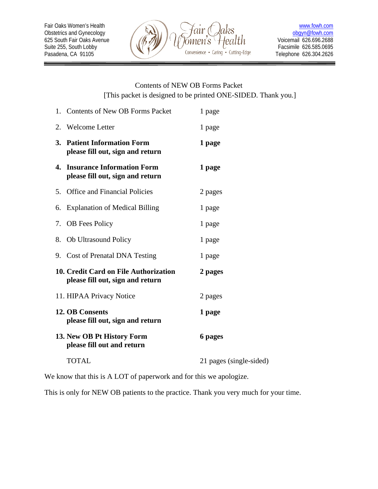

=

# Contents of NEW OB Forms Packet [This packet is designed to be printed ONE-SIDED. Thank you.]

|    | 1. Contents of New OB Forms Packet                                        | 1 page                  |
|----|---------------------------------------------------------------------------|-------------------------|
|    | 2. Welcome Letter                                                         | 1 page                  |
|    | 3. Patient Information Form<br>please fill out, sign and return           | 1 page                  |
| 4. | <b>Insurance Information Form</b><br>please fill out, sign and return     | 1 page                  |
| 5. | <b>Office and Financial Policies</b>                                      | 2 pages                 |
| 6. | <b>Explanation of Medical Billing</b>                                     | 1 page                  |
| 7. | <b>OB</b> Fees Policy                                                     | 1 page                  |
| 8. | <b>Ob Ultrasound Policy</b>                                               | 1 page                  |
|    | 9. Cost of Prenatal DNA Testing                                           | 1 page                  |
|    | 10. Credit Card on File Authorization<br>please fill out, sign and return | 2 pages                 |
|    | 11. HIPAA Privacy Notice                                                  | 2 pages                 |
|    | <b>12. OB Consents</b><br>please fill out, sign and return                | 1 page                  |
|    | 13. New OB Pt History Form<br>please fill out and return                  | 6 pages                 |
|    | <b>TOTAL</b>                                                              | 21 pages (single-sided) |

We know that this is A LOT of paperwork and for this we apologize.

This is only for NEW OB patients to the practice. Thank you very much for your time.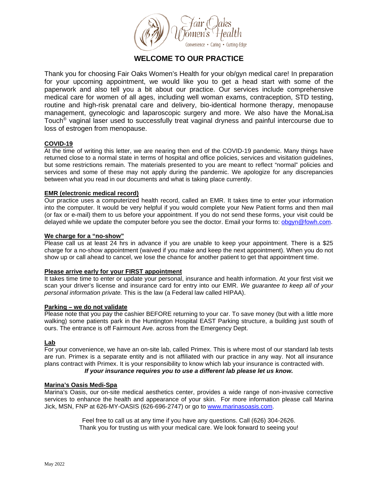

# **WELCOME TO OUR PRACTICE**

Thank you for choosing Fair Oaks Women's Health for your ob/gyn medical care! In preparation for your upcoming appointment, we would like you to get a head start with some of the paperwork and also tell you a bit about our practice. Our services include comprehensive medical care for women of all ages, including well woman exams, contraception, STD testing, routine and high-risk prenatal care and delivery, bio-identical hormone therapy, menopause management, gynecologic and laparoscopic surgery and more. We also have the MonaLisa Touch® vaginal laser used to successfully treat vaginal dryness and painful intercourse due to loss of estrogen from menopause.

### **COVID-19**

At the time of writing this letter, we are nearing then end of the COVID-19 pandemic. Many things have returned close to a normal state in terms of hospital and office policies, services and visitation guidelines, but some restrictions remain. The materials presented to you are meant to reflect "normal" policies and services and some of these may not apply during the pandemic. We apologize for any discrepancies between what you read in our documents and what is taking place currently.

### **EMR (electronic medical record)**

Our practice uses a computerized health record, called an EMR. It takes time to enter your information into the computer. It would be very helpful if you would complete your New Patient forms and then mail (or fax or e-mail) them to us before your appointment. If you do not send these forms, your visit could be delayed while we update the computer before you see the doctor. Email your forms to: [obgyn@fowh.com.](mailto:obgyn@fowh.com)

### **We charge for a "no-show"**

Please call us at least 24 hrs in advance if you are unable to keep your appointment. There is a \$25 charge for a no-show appointment (waived if you make and keep the next appointment). When you do not show up or call ahead to cancel, we lose the chance for another patient to get that appointment time.

### **Please arrive early for your FIRST appointment**

It takes time time to enter or update your personal, insurance and health information. At your first visit we scan your driver's license and insurance card for entry into our EMR. *We guarantee to keep all of your personal information private.* This is the law (a Federal law called HIPAA).

### **Parking – we do not validate**

Please note that you pay the cashier BEFORE returning to your car. To save money (but with a little more walking) some patients park in the Huntington Hospital EAST Parking structure, a building just south of ours. The entrance is off Fairmount Ave. across from the Emergency Dept.

### **Lab**

For your convenience, we have an on-site lab, called Primex. This is where most of our standard lab tests are run. Primex is a separate entity and is not affiliated with our practice in any way. Not all insurance plans contract with Primex. It is your responsibility to know which lab your insurance is contracted with.

### *If your insurance requires you to use a different lab please let us know.*

### **Marina's Oasis Medi-Spa**

Marina's Oasis, our on-site medical aesthetics center, provides a wide range of non-invasive corrective services to enhance the health and appearance of your skin. For more information please call Marina Jick, MSN, FNP at 626-MY-OASIS (626-696-2747) or go to [www.marinasoasis.com.](http://www.marinasoasis.com/)

> Feel free to call us at any time if you have any questions. Call (626) 304-2626. Thank you for trusting us with your medical care. We look forward to seeing you!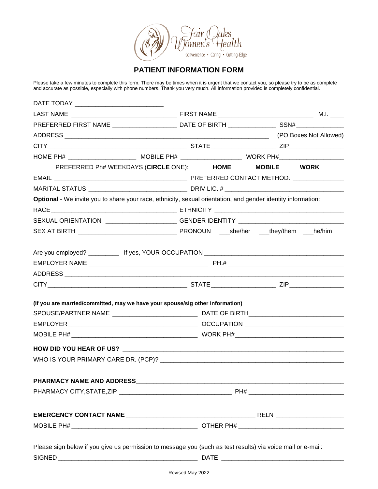

# **PATIENT INFORMATION FORM**

Please take a few minutes to complete this form. There may be times when it is urgent that we contact you, so please try to be as complete and accurate as possible, especially with phone numbers. Thank you very much. All information provided is completely confidential.

| DATE TODAY ________________________________                                                                  |                                                                                                      |  |  |
|--------------------------------------------------------------------------------------------------------------|------------------------------------------------------------------------------------------------------|--|--|
|                                                                                                              |                                                                                                      |  |  |
|                                                                                                              | PREFERRED FIRST NAME _______________________________DATE OF BIRTH __________________________________ |  |  |
|                                                                                                              |                                                                                                      |  |  |
|                                                                                                              |                                                                                                      |  |  |
|                                                                                                              |                                                                                                      |  |  |
| PREFERRED Ph# WEEKDAYS (CIRCLE ONE): HOME MOBILE WORK                                                        |                                                                                                      |  |  |
|                                                                                                              |                                                                                                      |  |  |
|                                                                                                              |                                                                                                      |  |  |
| Optional - We invite you to share your race, ethnicity, sexual orientation, and gender identity information: |                                                                                                      |  |  |
|                                                                                                              |                                                                                                      |  |  |
| SEXUAL ORIENTATION ______________________GENDER IDENTITY _______________________                             |                                                                                                      |  |  |
|                                                                                                              |                                                                                                      |  |  |
|                                                                                                              |                                                                                                      |  |  |
|                                                                                                              |                                                                                                      |  |  |
|                                                                                                              |                                                                                                      |  |  |
|                                                                                                              |                                                                                                      |  |  |
|                                                                                                              |                                                                                                      |  |  |
| (If you are married/committed, may we have your spouse/sig other information)                                |                                                                                                      |  |  |
|                                                                                                              |                                                                                                      |  |  |
|                                                                                                              |                                                                                                      |  |  |
|                                                                                                              |                                                                                                      |  |  |
|                                                                                                              |                                                                                                      |  |  |
|                                                                                                              |                                                                                                      |  |  |
|                                                                                                              |                                                                                                      |  |  |
|                                                                                                              |                                                                                                      |  |  |
|                                                                                                              |                                                                                                      |  |  |
|                                                                                                              |                                                                                                      |  |  |
|                                                                                                              |                                                                                                      |  |  |
|                                                                                                              |                                                                                                      |  |  |
|                                                                                                              |                                                                                                      |  |  |
| Please sign below if you give us permission to message you (such as test results) via voice mail or e-mail:  |                                                                                                      |  |  |
|                                                                                                              |                                                                                                      |  |  |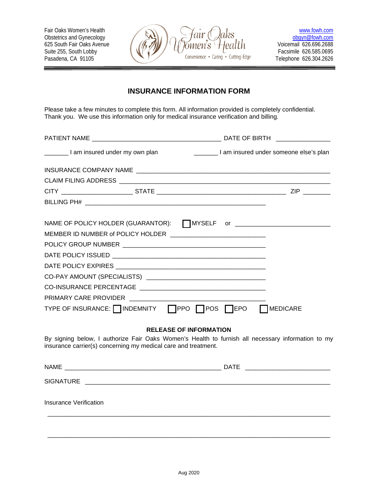625 South Fair Oaks Avenue<br>Suite 255, South Lobby



Telephone 626.304.2626

# **INSURANCE INFORMATION FORM**

Please take a few minutes to complete this form. All information provided is completely confidential. Thank you. We use this information only for medical insurance verification and billing.

| I am insured under my own plan                                 | am insured under someone else's plan                                                              |
|----------------------------------------------------------------|---------------------------------------------------------------------------------------------------|
|                                                                |                                                                                                   |
|                                                                |                                                                                                   |
|                                                                |                                                                                                   |
|                                                                |                                                                                                   |
|                                                                |                                                                                                   |
|                                                                | NAME OF POLICY HOLDER (GUARANTOR): □ MYSELF or ________________________________                   |
|                                                                |                                                                                                   |
|                                                                |                                                                                                   |
|                                                                |                                                                                                   |
|                                                                |                                                                                                   |
|                                                                |                                                                                                   |
|                                                                |                                                                                                   |
|                                                                |                                                                                                   |
|                                                                | TYPE OF INSURANCE: INDEMNITY   PPO   POS   EPO   MEDICARE                                         |
|                                                                | <b>RELEASE OF INFORMATION</b>                                                                     |
| insurance carrier(s) concerning my medical care and treatment. | By signing below, I authorize Fair Oaks Women's Health to furnish all necessary information to my |
|                                                                |                                                                                                   |
| <b>SIGNATURE</b>                                               |                                                                                                   |

Insurance Verification

\_\_\_\_\_\_\_\_\_\_\_\_\_\_\_\_\_\_\_\_\_\_\_\_\_\_\_\_\_\_\_\_\_\_\_\_\_\_\_\_\_\_\_\_\_\_\_\_\_\_\_\_\_\_\_\_\_\_\_\_\_\_\_\_\_\_\_\_\_\_\_\_\_\_\_\_\_\_\_\_\_\_\_

\_\_\_\_\_\_\_\_\_\_\_\_\_\_\_\_\_\_\_\_\_\_\_\_\_\_\_\_\_\_\_\_\_\_\_\_\_\_\_\_\_\_\_\_\_\_\_\_\_\_\_\_\_\_\_\_\_\_\_\_\_\_\_\_\_\_\_\_\_\_\_\_\_\_\_\_\_\_\_\_\_\_\_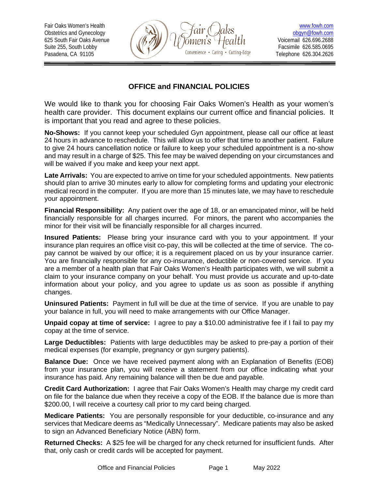625 South Fair Oaks Avenue<br>Suite 255. South Lobby



Telephone 626.304.2626

# **OFFICE and FINANCIAL POLICIES**

We would like to thank you for choosing Fair Oaks Women's Health as your women's health care provider. This document explains our current office and financial policies. It is important that you read and agree to these policies.

**No-Shows:** If you cannot keep your scheduled Gyn appointment, please call our office at least 24 hours in advance to reschedule. This will allow us to offer that time to another patient. Failure to give 24 hours cancellation notice or failure to keep your scheduled appointment is a no-show and may result in a charge of \$25. This fee may be waived depending on your circumstances and will be waived if you make and keep your next appt.

**Late Arrivals:** You are expected to arrive on time for your scheduled appointments. New patients should plan to arrive 30 minutes early to allow for completing forms and updating your electronic medical record in the computer. If you are more than 15 minutes late, we may have to reschedule your appointment.

**Financial Responsibility:** Any patient over the age of 18, or an emancipated minor, will be held financially responsible for all charges incurred. For minors, the parent who accompanies the minor for their visit will be financially responsible for all charges incurred.

**Insured Patients:** Please bring your insurance card with you to your appointment. If your insurance plan requires an office visit co-pay, this will be collected at the time of service. The copay cannot be waived by our office; it is a requirement placed on us by your insurance carrier. You are financially responsible for any co-insurance, deductible or non-covered service. If you are a member of a health plan that Fair Oaks Women's Health participates with, we will submit a claim to your insurance company on your behalf. You must provide us accurate and up-to-date information about your policy, and you agree to update us as soon as possible if anything changes.

**Uninsured Patients:** Payment in full will be due at the time of service. If you are unable to pay your balance in full, you will need to make arrangements with our Office Manager.

**Unpaid copay at time of service:** I agree to pay a \$10.00 administrative fee if I fail to pay my copay at the time of service.

**Large Deductibles:** Patients with large deductibles may be asked to pre-pay a portion of their medical expenses (for example, pregnancy or gyn surgery patients).

**Balance Due:** Once we have received payment along with an Explanation of Benefits (EOB) from your insurance plan, you will receive a statement from our office indicating what your insurance has paid. Any remaining balance will then be due and payable.

**Credit Card Authorization:** I agree that Fair Oaks Women's Health may charge my credit card on file for the balance due when they receive a copy of the EOB. If the balance due is more than \$200.00, I will receive a courtesy call prior to my card being charged.

**Medicare Patients:** You are personally responsible for your deductible, co-insurance and any services that Medicare deems as "Medically Unnecessary". Medicare patients may also be asked to sign an Advanced Beneficiary Notice (ABN) form.

**Returned Checks:** A \$25 fee will be charged for any check returned for insufficient funds. After that, only cash or credit cards will be accepted for payment.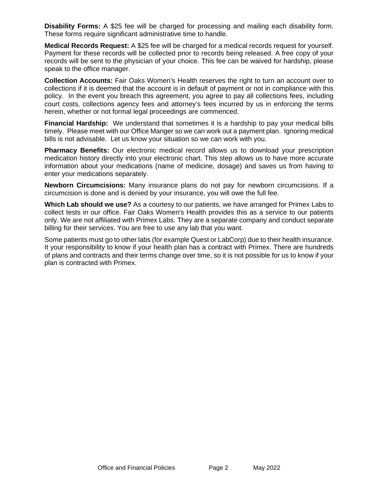**Disability Forms:** A \$25 fee will be charged for processing and mailing each disability form. These forms require significant administrative time to handle.

**Medical Records Request:** A \$25 fee will be charged for a medical records request for yourself. Payment for these records will be collected prior to records being released. A free copy of your records will be sent to the physician of your choice. This fee can be waived for hardship, please speak to the office manager.

**Collection Accounts:** Fair Oaks Women's Health reserves the right to turn an account over to collections if it is deemed that the account is in default of payment or not in compliance with this policy. In the event you breach this agreement, you agree to pay all collections fees, including court costs, collections agency fees and attorney's fees incurred by us in enforcing the terms herein, whether or not formal legal proceedings are commenced.

**Financial Hardship:** We understand that sometimes it is a hardship to pay your medical bills timely. Please meet with our Office Manger so we can work out a payment plan. Ignoring medical bills is not advisable. Let us know your situation so we can work with you.

**Pharmacy Benefits:** Our electronic medical record allows us to download your prescription medication history directly into your electronic chart. This step allows us to have more accurate information about your medications (name of medicine, dosage) and saves us from having to enter your medications separately.

**Newborn Circumcisions:** Many insurance plans do not pay for newborn circumcisions. If a circumcision is done and is denied by your insurance, you will owe the full fee.

**Which Lab should we use?** As a courtesy to our patients, we have arranged for Primex Labs to collect tests in our office. Fair Oaks Women's Health provides this as a service to our patients only. We are not affiliated with Primex Labs. They are a separate company and conduct separate billing for their services. You are free to use any lab that you want.

Some patients must go to other labs (for example Quest or LabCorp) due to their health insurance. It your responsibility to know if your health plan has a contract with Primex. There are hundreds of plans and contracts and their terms change over time, so it is not possible for us to know if your plan is contracted with Primex.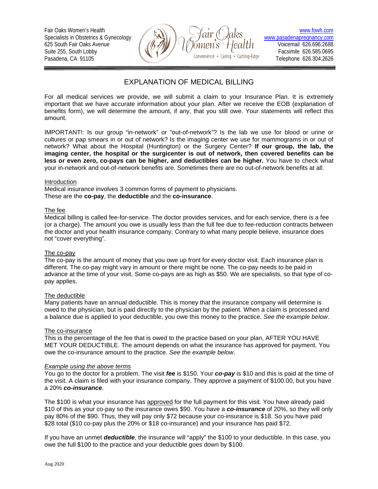625 South Fair Oaks Avenue<br>Suite 255, South Lobby



Telephone 626.304.2626

# EXPLANATION OF MEDICAL BILLING

For all medical services we provide, we will submit a claim to your Insurance Plan. It is extremely important that we have accurate information about your plan. After we receive the EOB (explanation of benefits form), we will determine the amount, if any, that you still owe. Your statements will reflect this amount.

IMPORTANT!: Is our group "in-network" or "out-of-network"? Is the lab we use for blood or urine or cultures or pap smears in or out of network? Is the imaging center we use for mammograms in or out of network? What about the Hospital (Huntington) or the Surgery Center? **If our group, the lab, the imaging center, the hospital or the surgicenter is out of network, then covered benefits can be less or even zero, co-pays can be higher, and deductibles can be higher.** You have to check what your in-network and out-of-network benefits are. Sometimes there are no out-of-network benefits at all.

#### Introduction

Medical insurance involves 3 common forms of payment to physicians. These are the **co-pay**, the **deductible** and the **co-insurance**.

### The fee

Medical billing is called fee-for-service. The doctor provides services, and for each service, there is a fee (or a charge). The amount you owe is usually less than the full fee due to fee-reduction contracts between the doctor and your health insurance company. Contrary to what many people believe, insurance does not "cover everything".

### The co-pay

The co-pay is the amount of money that you owe up front for every doctor visit. Each insurance plan is different. The co-pay might vary in amount or there might be none. The co-pay needs to be paid in advance at the time of your visit. Some co-pays are as high as \$50. We are specialists, so that type of copay applies.

### The deductible

Many patients have an annual deductible. This is money that the insurance company will determine is owed to the physician, but is paid directly to the physician by the patient. When a claim is processed and a balance due is applied to your deductible, you owe this money to the practice. *See the example below*.

### The co-insurance

This is the percentage of the fee that is owed to the practice based on your plan, AFTER YOU HAVE MET YOUR DEDUCTIBLE. The amount depends on what the insurance has approved for payment. You owe the co-insurance amount to the practice. *See the example below*.

### *Example using the above terms*

You go to the doctor for a problem. The visit *fee* is \$150. Your *co-pay* is \$10 and this is paid at the time of the visit. A claim is filed with your insurance company. They approve a payment of \$100.00, but you have a 20% *co-insurance*.

The \$100 is what your insurance has approved for the full payment for this visit. You have already paid \$10 of this as your co-pay so the insurance owes \$90. You have a *co-insurance* of 20%, so they will only pay 80% of the \$90. Thus, they will pay only \$72 because your co-insurance is \$18. So you have paid \$28 total (\$10 co-pay plus the 20% or \$18 co-insurance) and your insurance has paid \$72.

If you have an unmet *deductible*, the insurance will "apply" the \$100 to your deductible. In this case, you owe the full \$100 to the practice and your deductible goes down by \$100.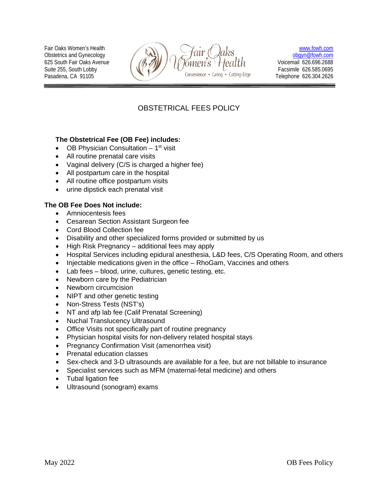Obstetrics and Gynecology



# OBSTETRICAL FEES POLICY

# **The Obstetrical Fee (OB Fee) includes:**

- OB Physician Consultation  $-1$ <sup>st</sup> visit
- All routine prenatal care visits
- Vaginal delivery (C/S is charged a higher fee)
- All postpartum care in the hospital
- All routine office postpartum visits
- urine dipstick each prenatal visit

### **The OB Fee Does Not include:**

- Amniocentesis fees
- Cesarean Section Assistant Surgeon fee
- Cord Blood Collection fee
- Disability and other specialized forms provided or submitted by us
- High Risk Pregnancy additional fees may apply
- Hospital Services including epidural anesthesia, L&D fees, C/S Operating Room, and others
- Injectable medications given in the office RhoGam, Vaccines and others
- Lab fees blood, urine, cultures, genetic testing, etc.
- Newborn care by the Pediatrician
- Newborn circumcision
- NIPT and other genetic testing
- Non-Stress Tests (NST's)
- NT and afp lab fee (Calif Prenatal Screening)
- Nuchal Translucency Ultrasound
- Office Visits not specifically part of routine pregnancy
- Physician hospital visits for non-delivery related hospital stays
- Pregnancy Confirmation Visit (amenorrhea visit)
- Prenatal education classes
- Sex-check and 3-D ultrasounds are available for a fee, but are not billable to insurance
- Specialist services such as MFM (maternal-fetal medicine) and others
- Tubal ligation fee
- Ultrasound (sonogram) exams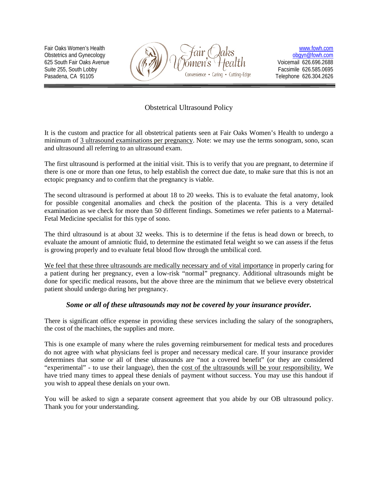Obstetrics and Gynecology



# Obstetrical Ultrasound Policy

It is the custom and practice for all obstetrical patients seen at Fair Oaks Women's Health to undergo a minimum of 3 ultrasound examinations per pregnancy. Note: we may use the terms sonogram, sono, scan and ultrasound all referring to an ultrasound exam.

The first ultrasound is performed at the initial visit. This is to verify that you are pregnant, to determine if there is one or more than one fetus, to help establish the correct due date, to make sure that this is not an ectopic pregnancy and to confirm that the pregnancy is viable.

The second ultrasound is performed at about 18 to 20 weeks. This is to evaluate the fetal anatomy, look for possible congenital anomalies and check the position of the placenta. This is a very detailed examination as we check for more than 50 different findings. Sometimes we refer patients to a Maternal-Fetal Medicine specialist for this type of sono.

The third ultrasound is at about 32 weeks. This is to determine if the fetus is head down or breech, to evaluate the amount of amniotic fluid, to determine the estimated fetal weight so we can assess if the fetus is growing properly and to evaluate fetal blood flow through the umbilical cord.

We feel that these three ultrasounds are medically necessary and of vital importance in properly caring for a patient during her pregnancy, even a low-risk "normal" pregnancy. Additional ultrasounds might be done for specific medical reasons, but the above three are the minimum that we believe every obstetrical patient should undergo during her pregnancy.

### *Some or all of these ultrasounds may not be covered by your insurance provider.*

There is significant office expense in providing these services including the salary of the sonographers, the cost of the machines, the supplies and more.

This is one example of many where the rules governing reimbursement for medical tests and procedures do not agree with what physicians feel is proper and necessary medical care. If your insurance provider determines that some or all of these ultrasounds are "not a covered benefit" (or they are considered "experimental" - to use their language), then the cost of the ultrasounds will be your responsibility. We have tried many times to appeal these denials of payment without success. You may use this handout if you wish to appeal these denials on your own.

You will be asked to sign a separate consent agreement that you abide by our OB ultrasound policy. Thank you for your understanding.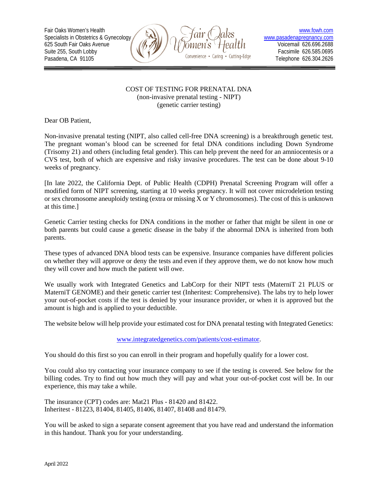625 South Fair Oaks Avenue



### COST OF TESTING FOR PRENATAL DNA (non-invasive prenatal testing - NIPT) (genetic carrier testing)

Dear OB Patient,

Non-invasive prenatal testing (NIPT, also called cell-free DNA screening) is a breakthrough genetic test. The pregnant woman's blood can be screened for fetal DNA conditions including Down Syndrome (Trisomy 21) and others (including fetal gender). This can help prevent the need for an amniocentesis or a CVS test, both of which are expensive and risky invasive procedures. The test can be done about 9-10 weeks of pregnancy.

[In late 2022, the California Dept. of Public Health (CDPH) Prenatal Screening Program will offer a modified form of NIPT screening, starting at 10 weeks pregnancy. It will not cover microdeletion testing or sex chromosome aneuploidy testing (extra or missing X or Y chromosomes). The cost of this is unknown at this time.]

Genetic Carrier testing checks for DNA conditions in the mother or father that might be silent in one or both parents but could cause a genetic disease in the baby if the abnormal DNA is inherited from both parents.

These types of advanced DNA blood tests can be expensive. Insurance companies have different policies on whether they will approve or deny the tests and even if they approve them, we do not know how much they will cover and how much the patient will owe.

We usually work with Integrated Genetics and LabCorp for their NIPT tests (MaterniT 21 PLUS or MaterniT GENOME) and their genetic carrier test (Inheritest: Comprehensive). The labs try to help lower your out-of-pocket costs if the test is denied by your insurance provider, or when it is approved but the amount is high and is applied to your deductible.

The website below will help provide your estimated cost for DNA prenatal testing with Integrated Genetics:

### [www.integratedgenetics.com/patients/cost-estimator.](http://www.integratedgenetics.com/patients/cost-estimator)

You should do this first so you can enroll in their program and hopefully qualify for a lower cost.

You could also try contacting your insurance company to see if the testing is covered. See below for the billing codes. Try to find out how much they will pay and what your out-of-pocket cost will be. In our experience, this may take a while.

The insurance (CPT) codes are: Mat21 Plus - 81420 and 81422. Inheritest - 81223, 81404, 81405, 81406, 81407, 81408 and 81479.

You will be asked to sign a separate consent agreement that you have read and understand the information in this handout. Thank you for your understanding.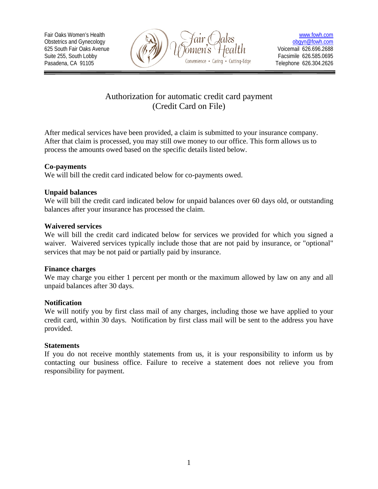

# Authorization for automatic credit card payment (Credit Card on File)

After medical services have been provided, a claim is submitted to your insurance company. After that claim is processed, you may still owe money to our office. This form allows us to process the amounts owed based on the specific details listed below.

# **Co-payments**

We will bill the credit card indicated below for co-payments owed.

# **Unpaid balances**

We will bill the credit card indicated below for unpaid balances over 60 days old, or outstanding balances after your insurance has processed the claim.

### **Waivered services**

We will bill the credit card indicated below for services we provided for which you signed a waiver. Waivered services typically include those that are not paid by insurance, or "optional" services that may be not paid or partially paid by insurance.

# **Finance charges**

We may charge you either 1 percent per month or the maximum allowed by law on any and all unpaid balances after 30 days.

### **Notification**

We will notify you by first class mail of any charges, including those we have applied to your credit card, within 30 days. Notification by first class mail will be sent to the address you have provided.

### **Statements**

If you do not receive monthly statements from us, it is your responsibility to inform us by contacting our business office. Failure to receive a statement does not relieve you from responsibility for payment.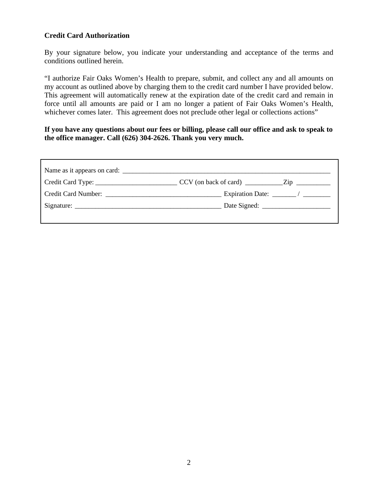# **Credit Card Authorization**

By your signature below, you indicate your understanding and acceptance of the terms and conditions outlined herein.

"I authorize Fair Oaks Women's Health to prepare, submit, and collect any and all amounts on my account as outlined above by charging them to the credit card number I have provided below. This agreement will automatically renew at the expiration date of the credit card and remain in force until all amounts are paid or I am no longer a patient of Fair Oaks Women's Health, whichever comes later. This agreement does not preclude other legal or collections actions"

**If you have any questions about our fees or billing, please call our office and ask to speak to the office manager. Call (626) 304-2626. Thank you very much.**

| Expiration Date: $\frac{1}{\sqrt{1-\frac{1}{2}} \cdot \frac{1}{\sqrt{1-\frac{1}{2}} \cdot \frac{1}{\sqrt{1-\frac{1}{2}} \cdot \frac{1}{\sqrt{1-\frac{1}{2}} \cdot \frac{1}{\sqrt{1-\frac{1}{2}} \cdot \frac{1}{\sqrt{1-\frac{1}{2}} \cdot \frac{1}{\sqrt{1-\frac{1}{2}} \cdot \frac{1}{\sqrt{1-\frac{1}{2}} \cdot \frac{1}{\sqrt{1-\frac{1}{2}} \cdot \frac{1}{\sqrt{1-\frac{1}{2}} \cdot \frac{1}{\sqrt{1-\frac{1}{2}} \cdot \frac{1}{$ |
|------------------------------------------------------------------------------------------------------------------------------------------------------------------------------------------------------------------------------------------------------------------------------------------------------------------------------------------------------------------------------------------------------------------------------------------|
|                                                                                                                                                                                                                                                                                                                                                                                                                                          |
|                                                                                                                                                                                                                                                                                                                                                                                                                                          |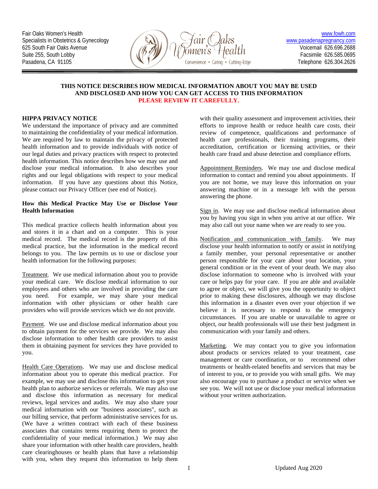

#### **THIS NOTICE DESCRIBES HOW MEDICAL INFORMATION ABOUT YOU MAY BE USED AND DISCLOSED AND HOW YOU CAN GET ACCESS TO THIS INFORMATION PLEASE REVIEW IT CAREFULLY.**

### **HIPPA PRIVACY NOTICE**

We understand the importance of privacy and are committed to maintaining the confidentiality of your medical information. We are required by law to maintain the privacy of protected health information and to provide individuals with notice of our legal duties and privacy practices with respect to protected health information. This notice describes how we may use and disclose your medical information. It also describes your rights and our legal obligations with respect to your medical information. If you have any questions about this Notice, please contact our Privacy Officer (see end of Notice).

#### **How this Medical Practice May Use or Disclose Your Health Information**

This medical practice collects health information about you and stores it in a chart and on a computer. This is your medical record. The medical record is the property of this medical practice, but the information in the medical record belongs to you. The law permits us to use or disclose your health information for the following purposes:

Treatment. We use medical information about you to provide your medical care. We disclose medical information to our employees and others who are involved in providing the care you need. For example, we may share your medical information with other physicians or other health care providers who will provide services which we do not provide.

Payment. We use and disclose medical information about you to obtain payment for the services we provide. We may also disclose information to other health care providers to assist them in obtaining payment for services they have provided to you.

Health Care Operations. We may use and disclose medical information about you to operate this medical practice. For example, we may use and disclose this information to get your health plan to authorize services or referrals. We may also use and disclose this information as necessary for medical reviews, legal services and audits. We may also share your medical information with our "business associates", such as our billing service, that perform administrative services for us. (We have a written contract with each of these business associates that contains terms requiring them to protect the confidentiality of your medical information.) We may also share your information with other health care providers, health care clearinghouses or health plans that have a relationship with you, when they request this information to help them

with their quality assessment and improvement activities, their efforts to improve health or reduce health care costs, their review of competence, qualifications and performance of health care professionals, their training programs, their accreditation, certification or licensing activities, or their health care fraud and abuse detection and compliance efforts.

Appointment Reminders. We may use and disclose medical information to contact and remind you about appointments. If you are not home, we may leave this information on your answering machine or in a message left with the person answering the phone.

Sign in. We may use and disclose medical information about you by having you sign in when you arrive at our office. We may also call out your name when we are ready to see you.

Notification and communication with family. We may disclose your health information to notify or assist in notifying a family member, your personal representative or another person responsible for your care about your location, your general condition or in the event of your death. We may also disclose information to someone who is involved with your care or helps pay for your care. If you are able and available to agree or object, we will give you the opportunity to object prior to making these disclosures, although we may disclose this information in a disaster even over your objection if we believe it is necessary to respond to the emergency circumstances. If you are unable or unavailable to agree or object, our health professionals will use their best judgment in communication with your family and others.

Marketing. We may contact you to give you information about products or services related to your treatment, case management or care coordination, or to recommend other treatments or health-related benefits and services that may be of interest to you, or to provide you with small gifts. We may also encourage you to purchase a product or service when we see you. We will not use or disclose your medical information without your written authorization.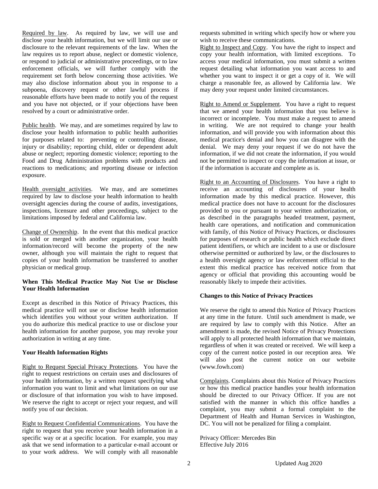Required by law. As required by law, we will use and disclose your health information, but we will limit our use or disclosure to the relevant requirements of the law. When the law requires us to report abuse, neglect or domestic violence, or respond to judicial or administrative proceedings, or to law enforcement officials, we will further comply with the requirement set forth below concerning those activities. We may also disclose information about you in response to a subpoena, discovery request or other lawful process if reasonable efforts have been made to notify you of the request and you have not objected, or if your objections have been resolved by a court or administrative order.

Public health. We may, and are sometimes required by law to disclose your health information to public health authorities for purposes related to: preventing or controlling disease, injury or disability; reporting child, elder or dependent adult abuse or neglect; reporting domestic violence; reporting to the Food and Drug Administration problems with products and reactions to medications; and reporting disease or infection exposure.

Health oversight activities. We may, and are sometimes required by law to disclose your health information to health oversight agencies during the course of audits, investigations, inspections, licensure and other proceedings, subject to the limitations imposed by federal and California law.

Change of Ownership. In the event that this medical practice is sold or merged with another organization, your health information/record will become the property of the new owner, although you will maintain the right to request that copies of your health information be transferred to another physician or medical group.

### **When This Medical Practice May Not Use or Disclose Your Health Information**

Except as described in this Notice of Privacy Practices, this medical practice will not use or disclose health information which identifies you without your written authorization. If you do authorize this medical practice to use or disclose your health information for another purpose, you may revoke your authorization in writing at any time.

### **Your Health Information Rights**

Right to Request Special Privacy Protections. You have the right to request restrictions on certain uses and disclosures of your health information, by a written request specifying what information you want to limit and what limitations on our use or disclosure of that information you wish to have imposed. We reserve the right to accept or reject your request, and will notify you of our decision.

Right to Request Confidential Communications. You have the right to request that you receive your health information in a specific way or at a specific location. For example, you may ask that we send information to a particular e-mail account or to your work address. We will comply with all reasonable

requests submitted in writing which specify how or where you wish to receive these communications.

Right to Inspect and Copy. You have the right to inspect and copy your health information, with limited exceptions. To access your medical information, you must submit a written request detailing what information you want access to and whether you want to inspect it or get a copy of it. We will charge a reasonable fee, as allowed by California law. We may deny your request under limited circumstances.

Right to Amend or Supplement. You have a right to request that we amend your health information that you believe is incorrect or incomplete. You must make a request to amend in writing. We are not required to change your health information, and will provide you with information about this medical practice's denial and how you can disagree with the denial. We may deny your request if we do not have the information, if we did not create the information, if you would not be permitted to inspect or copy the information at issue, or if the information is accurate and complete as is.

Right to an Accounting of Disclosures. You have a right to receive an accounting of disclosures of your health information made by this medical practice. However, this medical practice does not have to account for the disclosures provided to you or pursuant to your written authorization, or as described in the paragraphs headed treatment, payment, health care operations, and notification and communication with family, of this Notice of Privacy Practices, or disclosures for purposes of research or public health which exclude direct patient identifiers, or which are incident to a use or disclosure otherwise permitted or authorized by law, or the disclosures to a health oversight agency or law enforcement official to the extent this medical practice has received notice from that agency or official that providing this accounting would be reasonably likely to impede their activities.

### **Changes to this Notice of Privacy Practices**

We reserve the right to amend this Notice of Privacy Practices at any time in the future. Until such amendment is made, we are required by law to comply with this Notice. After an amendment is made, the revised Notice of Privacy Protections will apply to all protected health information that we maintain, regardless of when it was created or received. We will keep a copy of the current notice posted in our reception area. We will also post the current notice on our website (www.fowh.com)

Complaints. Complaints about this Notice of Privacy Practices or how this medical practice handles your health information should be directed to our Privacy Officer. If you are not satisfied with the manner in which this office handles a complaint, you may submit a formal complaint to the Department of Health and Human Services in Washington, DC. You will not be penalized for filing a complaint.

Privacy Officer: Mercedes Bin Effective July 2016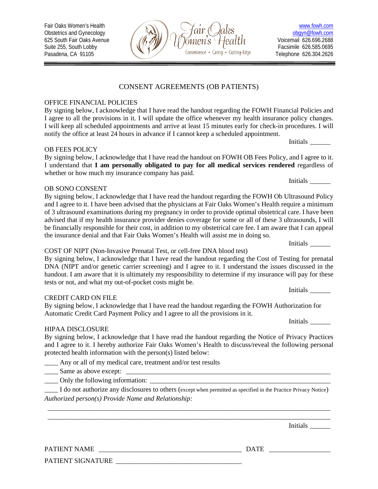# OFFICE FINANCIAL POLICIES

By signing below, I acknowledge that I have read the handout regarding the FOWH Financial Policies and I agree to all the provisions in it. I will update the office whenever my health insurance policy changes. I will keep all scheduled appointments and arrive at least 15 minutes early for check-in procedures. I will notify the office at least 24 hours in advance if I cannot keep a scheduled appointment.

# OB FEES POLICY

By signing below, I acknowledge that I have read the handout on FOWH OB Fees Policy, and I agree to it. I understand that **I am personally obligated to pay for all medical services rendered** regardless of whether or how much my insurance company has paid.

# OB SONO CONSENT

By signing below, I acknowledge that I have read the handout regarding the FOWH Ob Ultrasound Policy and I agree to it. I have been advised that the physicians at Fair Oaks Women's Health require a minimum of 3 ultrasound examinations during my pregnancy in order to provide optimal obstetrical care. I have been advised that if my health insurance provider denies coverage for some or all of these 3 ultrasounds, I will be financially responsible for their cost, in addition to my obstetrical care fee. I am aware that I can appeal the insurance denial and that Fair Oaks Women's Health will assist me in doing so.

# COST OF NIPT (Non-Invasive Prenatal Test, or cell-free DNA blood test)

By signing below, I acknowledge that I have read the handout regarding the Cost of Testing for prenatal DNA (NIPT and/or genetic carrier screening) and I agree to it. I understand the issues discussed in the handout. I am aware that it is ultimately my responsibility to determine if my insurance will pay for these tests or not, and what my out-of-pocket costs might be.

# CREDIT CARD ON FILE

By signing below, I acknowledge that I have read the handout regarding the FOWH Authorization for Automatic Credit Card Payment Policy and I agree to all the provisions in it.

# HIPAA DISCLOSURE

By signing below, I acknowledge that I have read the handout regarding the Notice of Privacy Practices and I agree to it. I hereby authorize Fair Oaks Women's Health to discuss/reveal the following personal protected health information with the person(s) listed below:

\_\_\_\_ Any or all of my medical care, treatment and/or test results

\_\_\_\_ Same as above except: \_\_\_\_\_\_\_\_\_\_\_\_\_\_\_\_\_\_\_\_\_\_\_\_\_\_\_\_\_\_\_\_\_\_\_\_\_\_\_\_\_\_\_\_\_\_\_\_\_\_\_\_\_\_\_\_\_\_\_\_

\_\_\_\_ Only the following information: \_\_\_\_\_\_\_\_\_\_\_\_\_\_\_\_\_\_\_\_\_\_\_\_\_\_\_\_\_\_\_\_\_\_\_\_\_\_\_\_\_\_\_\_\_\_\_\_\_\_\_\_\_

\_\_\_\_ I do not authorize any disclosures to others (except when permitted as specified in the Practice Privacy Notice) *Authorized person(s) Provide Name and Relationship:*

\_\_\_\_\_\_\_\_\_\_\_\_\_\_\_\_\_\_\_\_\_\_\_\_\_\_\_\_\_\_\_\_\_\_\_\_\_\_\_\_\_\_\_\_\_\_\_\_\_\_\_\_\_\_\_\_\_\_\_\_\_\_\_\_\_\_\_\_\_\_\_\_\_\_\_\_\_\_\_\_\_\_\_ \_\_\_\_\_\_\_\_\_\_\_\_\_\_\_\_\_\_\_\_\_\_\_\_\_\_\_\_\_\_\_\_\_\_\_\_\_\_\_\_\_\_\_\_\_\_\_\_\_\_\_\_\_\_\_\_\_\_\_\_\_\_\_\_\_\_\_\_\_\_\_\_\_\_\_\_\_\_\_\_\_\_\_

PATIENT NAME \_\_\_\_\_\_\_\_\_\_\_\_\_\_\_\_\_\_\_\_\_\_\_\_\_\_\_\_\_\_\_\_\_\_\_\_\_\_\_\_\_\_ DATE \_\_\_\_\_\_\_\_\_\_\_\_\_\_\_\_\_\_

PATIENT SIGNATURE \_\_\_\_\_\_\_\_\_\_\_\_\_\_\_\_\_\_\_\_\_\_\_\_\_\_\_\_\_\_\_\_\_\_\_\_\_



Telephone 626.304.2626

Initials \_\_\_\_\_\_

Initials \_\_\_\_\_\_

Initials \_\_\_\_\_\_

Initials \_\_\_\_\_\_

Initials \_\_\_\_\_\_

Initials \_\_\_\_\_\_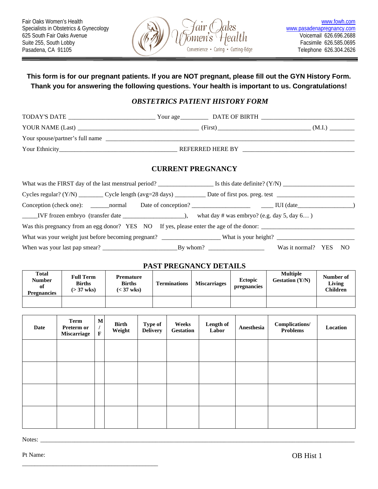

# **This form is for our pregnant patients. If you are NOT pregnant, please fill out the GYN History Form. Thank you for answering the following questions. Your health is important to us. Congratulations!**

# *OBSTETRICS PATIENT HISTORY FORM*

| DATE OF BIRTH<br>Your age |        |
|---------------------------|--------|
| (First)                   | (M.I.) |
|                           |        |
| <b>REFERRED HERE BY</b>   |        |
|                           |        |

### **CURRENT PREGNANCY**

|                                                                                         |  | what day # was embryo? (e.g. day 5, day $6$ ) |  |      |  |
|-----------------------------------------------------------------------------------------|--|-----------------------------------------------|--|------|--|
| Was this pregnancy from an egg donor? YES NO If yes, please enter the age of the donor: |  |                                               |  |      |  |
|                                                                                         |  |                                               |  |      |  |
|                                                                                         |  | Was it normal? YES                            |  | - NO |  |

### **PAST PREGNANCY DETAILS**

| <b>Total</b><br><b>Number</b><br>of<br><b>Pregnancies</b> | <b>Full Term</b><br><b>Births</b><br>$( > 37$ wks) | Premature<br><b>Births</b><br>$(< 37$ wks) | <b>Terminations</b> | <b>Miscarriages</b> | <b>Ectopic</b><br>pregnancies | <b>Multiple</b><br><b>Gestation</b> (Y/N) | Number of<br>Living<br><b>Children</b> |
|-----------------------------------------------------------|----------------------------------------------------|--------------------------------------------|---------------------|---------------------|-------------------------------|-------------------------------------------|----------------------------------------|
|                                                           |                                                    |                                            |                     |                     |                               |                                           |                                        |

| Date | Term<br>Preterm or<br><b>Miscarriage</b> | $\mathbf M$<br>$\mathbf F$ | <b>Birth</b><br>Weight | <b>Type of</b><br><b>Delivery</b> | Weeks<br><b>Gestation</b> | Length of<br>Labor | Anesthesia | Complications/<br><b>Problems</b> | Location |
|------|------------------------------------------|----------------------------|------------------------|-----------------------------------|---------------------------|--------------------|------------|-----------------------------------|----------|
|      |                                          |                            |                        |                                   |                           |                    |            |                                   |          |
|      |                                          |                            |                        |                                   |                           |                    |            |                                   |          |
|      |                                          |                            |                        |                                   |                           |                    |            |                                   |          |
|      |                                          |                            |                        |                                   |                           |                    |            |                                   |          |

Notes: \_\_\_\_\_\_\_\_\_\_\_\_\_\_\_\_\_\_\_\_\_\_\_\_\_\_\_\_\_\_\_\_\_\_\_\_\_\_\_\_\_\_\_\_\_\_\_\_\_\_\_\_\_\_\_\_\_\_\_\_\_\_\_\_\_\_\_\_\_\_\_\_\_\_\_\_\_\_\_\_\_\_\_\_\_\_\_\_\_\_\_\_\_\_\_\_\_\_\_\_\_

Pt Name: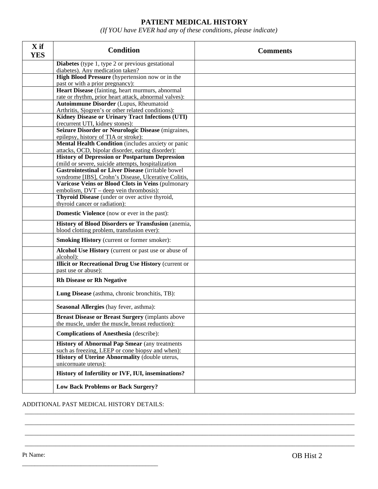# **PATIENT MEDICAL HISTORY**

*(If YOU have EVER had any of these conditions, please indicate)*

| X if<br><b>YES</b> | <b>Condition</b>                                                                                            | <b>Comments</b> |
|--------------------|-------------------------------------------------------------------------------------------------------------|-----------------|
|                    | <b>Diabetes</b> (type 1, type 2 or previous gestational                                                     |                 |
|                    | diabetes). Any medication taken?                                                                            |                 |
|                    | High Blood Pressure (hypertension now or in the                                                             |                 |
|                    | past or with a prior pregnancy):                                                                            |                 |
|                    | Heart Disease (fainting, heart murmurs, abnormal                                                            |                 |
|                    | rate or rhythm, prior heart attack, abnormal valves):                                                       |                 |
|                    | <b>Autoimmune Disorder (Lupus, Rheumatoid</b>                                                               |                 |
|                    | Arthritis, Sjogren's or other related conditions):                                                          |                 |
|                    | Kidney Disease or Urinary Tract Infections (UTI)                                                            |                 |
|                    | (recurrent UTI, kidney stones):<br>Seizure Disorder or Neurologic Disease (migraines,                       |                 |
|                    | epilepsy, history of TIA or stroke):                                                                        |                 |
|                    | Mental Health Condition (includes anxiety or panic                                                          |                 |
|                    | attacks, OCD, bipolar disorder, eating disorder):                                                           |                 |
|                    | <b>History of Depression or Postpartum Depression</b>                                                       |                 |
|                    | (mild or severe, suicide attempts, hospitalization                                                          |                 |
|                    | Gastrointestinal or Liver Disease (irritable bowel                                                          |                 |
|                    | syndrome [IBS], Crohn's Disease, Ulcerative Colitis,                                                        |                 |
|                    | Varicose Veins or Blood Clots in Veins (pulmonary                                                           |                 |
|                    | embolism, DVT – deep vein thrombosis):                                                                      |                 |
|                    | Thyroid Disease (under or over active thyroid,                                                              |                 |
|                    | thyroid cancer or radiation):                                                                               |                 |
|                    | <b>Domestic Violence</b> (now or ever in the past):                                                         |                 |
|                    | History of Blood Disorders or Transfusion (anemia,                                                          |                 |
|                    | blood clotting problem, transfusion ever):                                                                  |                 |
|                    | <b>Smoking History</b> (current or former smoker):                                                          |                 |
|                    | Alcohol Use History (current or past use or abuse of<br>alcohol):                                           |                 |
|                    | <b>Illicit or Recreational Drug Use History (current or</b><br>past use or abuse):                          |                 |
|                    | <b>Rh Disease or Rh Negative</b>                                                                            |                 |
|                    | Lung Disease (asthma, chronic bronchitis, TB):                                                              |                 |
|                    | <b>Seasonal Allergies</b> (hay fever, asthma):                                                              |                 |
|                    | <b>Breast Disease or Breast Surgery (implants above</b><br>the muscle, under the muscle, breast reduction): |                 |
|                    | <b>Complications of Anesthesia</b> (describe):                                                              |                 |
|                    | <b>History of Abnormal Pap Smear (any treatments)</b><br>such as freezing, LEEP or cone biopsy and when):   |                 |
|                    | History of Uterine Abnormality (double uterus,                                                              |                 |
|                    | unicornuate uterus):                                                                                        |                 |
|                    | History of Infertility or IVF, IUI, inseminations?                                                          |                 |
|                    | <b>Low Back Problems or Back Surgery?</b>                                                                   |                 |

\_\_\_\_\_\_\_\_\_\_\_\_\_\_\_\_\_\_\_\_\_\_\_\_\_\_\_\_\_\_\_\_\_\_\_\_\_\_\_\_\_\_\_\_\_\_\_\_\_\_\_\_\_\_\_\_\_\_\_\_\_\_\_\_\_\_\_\_\_\_\_\_\_\_\_\_\_\_\_\_\_\_\_\_\_\_\_\_\_\_\_\_\_\_\_\_\_\_\_\_\_\_\_\_\_\_ \_\_\_\_\_\_\_\_\_\_\_\_\_\_\_\_\_\_\_\_\_\_\_\_\_\_\_\_\_\_\_\_\_\_\_\_\_\_\_\_\_\_\_\_\_\_\_\_\_\_\_\_\_\_\_\_\_\_\_\_\_\_\_\_\_\_\_\_\_\_\_\_\_\_\_\_\_\_\_\_\_\_\_\_\_\_\_\_\_\_\_\_\_\_\_\_\_\_\_\_\_\_\_\_\_\_ \_\_\_\_\_\_\_\_\_\_\_\_\_\_\_\_\_\_\_\_\_\_\_\_\_\_\_\_\_\_\_\_\_\_\_\_\_\_\_\_\_\_\_\_\_\_\_\_\_\_\_\_\_\_\_\_\_\_\_\_\_\_\_\_\_\_\_\_\_\_\_\_\_\_\_\_\_\_\_\_\_\_\_\_\_\_\_\_\_\_\_\_\_\_\_\_\_\_\_\_\_\_\_\_\_\_ \_\_\_\_\_\_\_\_\_\_\_\_\_\_\_\_\_\_\_\_\_\_\_\_\_\_\_\_\_\_\_\_\_\_\_\_\_\_\_\_\_\_\_\_\_\_\_\_\_\_\_\_\_\_\_\_\_\_\_\_\_\_\_\_\_\_\_\_\_\_\_\_\_\_\_\_\_\_\_\_\_\_\_\_\_\_\_\_\_\_\_\_\_\_\_\_\_\_\_\_\_\_\_\_\_\_

ADDITIONAL PAST MEDICAL HISTORY DETAILS: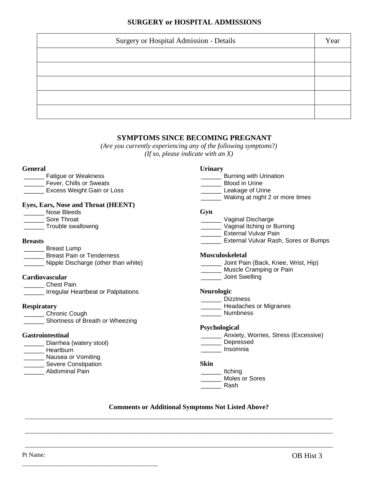# **SURGERY or HOSPITAL ADMISSIONS**

| Surgery or Hospital Admission - Details | Year |
|-----------------------------------------|------|
|                                         |      |
|                                         |      |
|                                         |      |
|                                         |      |
|                                         |      |

### **SYMPTOMS SINCE BECOMING PREGNANT**

*(Are you currently experiencing any of the following symptoms*?*) (If so, please indicate with an X)*

### **General**

\_\_\_\_\_\_ Fatigue or Weakness **\_\_\_\_\_\_\_** Fever, Chills or Sweats **LEXCESS Weight Gain or Loss** 

### **Eyes, Ears, Nose and Throat (HEENT)**

- \_\_\_\_\_\_ Nose Bleeds
- \_\_\_\_\_\_ Sore Throat
- \_\_\_\_\_\_ Trouble swallowing

### **Breasts**

\_\_\_\_\_\_ Breast Lump Breast Pain or Tenderness **Nipple Discharge (other than white)** 

### **Cardiovascular**

- \_\_\_\_\_\_ Chest Pain
	- *\_\_\_\_\_* Irregular Heartbeat or Palpitations

### **Respiratory**

- Chronic Cough
- Shortness of Breath or Wheezing

\_\_\_\_\_\_\_\_\_\_\_\_\_\_\_\_\_\_\_\_\_\_\_\_\_\_\_\_\_\_\_\_\_\_\_\_\_\_\_\_\_\_\_\_

### **Gastrointestinal**

\_\_\_\_\_\_ Diarrhea (watery stool) \_\_\_\_\_\_ Heartburn **Nausea or Vomiting Example 25** Severe Constipation Abdominal Pain

### **Urinary**

- **\_\_\_\_\_\_\_** Burning with Urination
- \_\_\_\_\_\_ Blood in Urine
- **Leakage of Urine**
- \_\_\_\_\_\_ Waking at night 2 or more times

#### **Gyn**

- \_\_\_\_\_\_ Vaginal Discharge
- **Waginal Itching or Burning**
- **\_\_\_\_\_\_\_\_** External Vulvar Pain
- **\_\_\_\_\_\_** External Vulvar Rash, Sores or Bumps

### **Musculoskeletal**

- **\_\_\_\_\_\_** Joint Pain (Back, Knee, Wrist, Hip)
- \_\_\_\_\_\_\_ Muscle Cramping or Pain
- \_\_\_\_\_\_ Joint Swelling

### **Neurologic**

- \_\_\_\_\_\_ Dizziness
- **Leadaches or Migraines**
- Numbness

### **Psychological**

- \_\_\_\_\_\_ Anxiety, Worries, Stress (Excessive)
- \_\_\_\_\_\_ Depressed \_\_\_\_\_\_ Insomnia

**Skin**

\_\_\_\_\_\_ Itching \_\_\_\_\_\_ Moles or Sores

\_\_\_\_\_\_ Rash

### **Comments or Additional Symptoms Not Listed Above?**

\_\_\_\_\_\_\_\_\_\_\_\_\_\_\_\_\_\_\_\_\_\_\_\_\_\_\_\_\_\_\_\_\_\_\_\_\_\_\_\_\_\_\_\_\_\_\_\_\_\_\_\_\_\_\_\_\_\_\_\_\_\_\_\_\_\_\_\_\_\_\_\_\_\_\_\_\_\_\_\_\_\_\_\_\_\_\_\_\_\_\_\_\_\_\_\_\_\_\_

\_\_\_\_\_\_\_\_\_\_\_\_\_\_\_\_\_\_\_\_\_\_\_\_\_\_\_\_\_\_\_\_\_\_\_\_\_\_\_\_\_\_\_\_\_\_\_\_\_\_\_\_\_\_\_\_\_\_\_\_\_\_\_\_\_\_\_\_\_\_\_\_\_\_\_\_\_\_\_\_\_\_\_\_\_\_\_\_\_\_\_\_\_\_\_\_\_\_\_

\_\_\_\_\_\_\_\_\_\_\_\_\_\_\_\_\_\_\_\_\_\_\_\_\_\_\_\_\_\_\_\_\_\_\_\_\_\_\_\_\_\_\_\_\_\_\_\_\_\_\_\_\_\_\_\_\_\_\_\_\_\_\_\_\_\_\_\_\_\_\_\_\_\_\_\_\_\_\_\_\_\_\_\_\_\_\_\_\_\_\_\_\_\_\_\_\_\_\_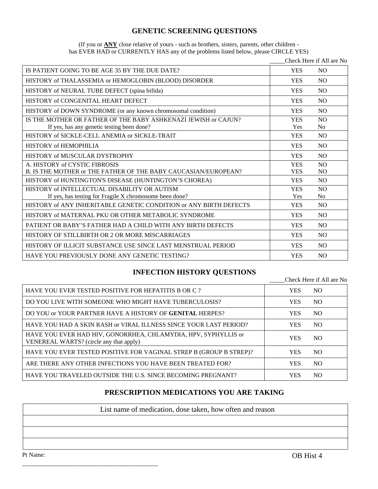# **GENETIC SCREENING QUESTIONS**

| (If you or <b>ANY</b> close relative of yours - such as brothers, sisters, parents, other children - |  |  |
|------------------------------------------------------------------------------------------------------|--|--|
| has EVER HAD or CURRENTLY HAS any of the problems listed below, please CIRCLE YES)                   |  |  |

|                                                                   |            | Check Here if All are No |
|-------------------------------------------------------------------|------------|--------------------------|
| IS PATIENT GOING TO BE AGE 35 BY THE DUE DATE?                    | <b>YES</b> | N <sub>O</sub>           |
| HISTORY of THALASSEMIA or HEMOGLOBIN (BLOOD) DISORDER             | <b>YES</b> | N <sub>O</sub>           |
| HISTORY of NEURAL TUBE DEFECT (spina bifida)                      | <b>YES</b> | N <sub>O</sub>           |
| HISTORY of CONGENITAL HEART DEFECT                                | <b>YES</b> | N <sub>O</sub>           |
| HISTORY of DOWN SYNDROME (or any known chromosomal condition)     | <b>YES</b> | N <sub>O</sub>           |
| IS THE MOTHER OR FATHER OF THE BABY ASHKENAZI JEWISH or CAJUN?    | <b>YES</b> | N <sub>O</sub>           |
| If yes, has any genetic testing been done?                        | Yes        | N <sub>0</sub>           |
| HISTORY of SICKLE-CELL ANEMIA or SICKLE-TRAIT                     | <b>YES</b> | N <sub>O</sub>           |
| HISTORY of HEMOPHILIA                                             | <b>YES</b> | N <sub>O</sub>           |
| HISTORY of MUSCULAR DYSTROPHY                                     | <b>YES</b> | N <sub>O</sub>           |
| A. HISTORY of CYSTIC FIBROSIS                                     | <b>YES</b> | N <sub>O</sub>           |
| B. IS THE MOTHER or THE FATHER OF THE BABY CAUCASIAN/EUROPEAN?    | <b>YES</b> | <b>NO</b>                |
| HISTORY of HUNTINGTON'S DISEASE (HUNTINGTON'S CHOREA)             | <b>YES</b> | N <sub>O</sub>           |
| HISTORY of INTELLECTUAL DISABILITY OR AUTISM                      | <b>YES</b> | N <sub>O</sub>           |
| If yes, has testing for Fragile X chromosome been done?           | Yes        | N <sub>0</sub>           |
| HISTORY of ANY INHERITABLE GENETIC CONDITION or ANY BIRTH DEFECTS | <b>YES</b> | N <sub>O</sub>           |
| HISTORY of MATERNAL PKU OR OTHER METABOLIC SYNDROME               | <b>YES</b> | N <sub>O</sub>           |
| PATIENT OR BABY'S FATHER HAD A CHILD WITH ANY BIRTH DEFECTS       | <b>YES</b> | N <sub>O</sub>           |
| HISTORY OF STILLBIRTH OR 2 OR MORE MISCARRIAGES                   | <b>YES</b> | <b>NO</b>                |
| HISTORY OF ILLICIT SUBSTANCE USE SINCE LAST MENSTRUAL PERIOD      | <b>YES</b> | N <sub>O</sub>           |
| HAVE YOU PREVIOUSLY DONE ANY GENETIC TESTING?                     | <b>YES</b> | N <sub>O</sub>           |

# **INFECTION HISTORY QUESTIONS**

|                                                                                                           |            | Check Here if All are No |
|-----------------------------------------------------------------------------------------------------------|------------|--------------------------|
| HAVE YOU EVER TESTED POSITIVE FOR HEPATITIS B OR C ?                                                      | <b>YES</b> | NO.                      |
| DO YOU LIVE WITH SOMEONE WHO MIGHT HAVE TUBERCULOSIS?                                                     | <b>YES</b> | NO.                      |
| DO YOU or YOUR PARTNER HAVE A HISTORY OF GENITAL HERPES?                                                  | <b>YES</b> | NO.                      |
| HAVE YOU HAD A SKIN RASH or VIRAL ILLNESS SINCE YOUR LAST PERIOD?                                         | <b>YES</b> | NO.                      |
| HAVE YOU EVER HAD HIV, GONORRHEA, CHLAMYDIA, HPV, SYPHYLLIS or<br>VENEREAL WARTS? (circle any that apply) | <b>YES</b> | NO.                      |
| HAVE YOU EVER TESTED POSITIVE FOR VAGINAL STREP B (GROUP B STREP)?                                        | <b>YES</b> | NO.                      |
| ARE THERE ANY OTHER INFECTIONS YOU HAVE BEEN TREATED FOR?                                                 | <b>YES</b> | NO.                      |
| HAVE YOU TRAVELED OUTSIDE THE U.S. SINCE BECOMING PREGNANT?                                               | <b>YES</b> | NO.                      |

# **PRESCRIPTION MEDICATIONS YOU ARE TAKING**

List name of medication, dose taken, how often and reason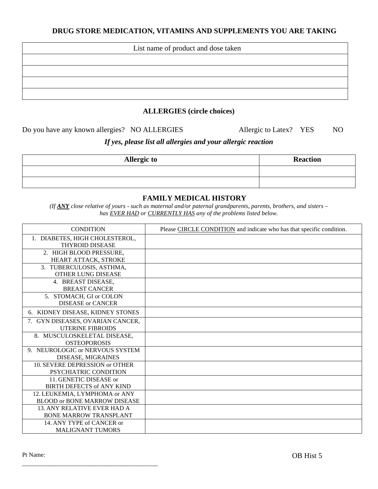# **DRUG STORE MEDICATION, VITAMINS AND SUPPLEMENTS YOU ARE TAKING**

| List name of product and dose taken |
|-------------------------------------|
|                                     |
|                                     |
|                                     |
|                                     |

### **ALLERGIES (circle choices)**

Do you have any known allergies? NO ALLERGIES Allergic to Latex? YES NO

# *If yes, please list all allergies and your allergic reaction*

| <b>Allergic to</b> | <b>Reaction</b> |
|--------------------|-----------------|
|                    |                 |
|                    |                 |

### **FAMILY MEDICAL HISTORY**

*(If ANY close relative of yours - such as maternal and/or paternal grandparents, parents, brothers, and sisters – has EVER HAD or CURRENTLY HAS any of the problems listed below.*

| <b>CONDITION</b>                                                     | Please CIRCLE CONDITION and indicate who has that specific condition. |
|----------------------------------------------------------------------|-----------------------------------------------------------------------|
| 1. DIABETES, HIGH CHOLESTEROL,<br><b>THYROID DISEASE</b>             |                                                                       |
| 2. HIGH BLOOD PRESSURE,<br>HEART ATTACK, STROKE                      |                                                                       |
| 3. TUBERCULOSIS, ASTHMA,<br>OTHER LUNG DISEASE                       |                                                                       |
| 4. BREAST DISEASE,<br><b>BREAST CANCER</b>                           |                                                                       |
| 5. STOMACH, GI or COLON<br><b>DISEASE or CANCER</b>                  |                                                                       |
| 6. KIDNEY DISEASE, KIDNEY STONES                                     |                                                                       |
| 7. GYN DISEASES, OVARIAN CANCER,<br><b>UTERINE FIBROIDS</b>          |                                                                       |
| 8. MUSCULOSKELETAL DISEASE,<br><b>OSTEOPOROSIS</b>                   |                                                                       |
| 9. NEUROLOGIC or NERVOUS SYSTEM<br>DISEASE, MIGRAINES                |                                                                       |
| 10. SEVERE DEPRESSION or OTHER<br>PSYCHIATRIC CONDITION              |                                                                       |
| 11. GENETIC DISEASE or<br><b>BIRTH DEFECTS of ANY KIND</b>           |                                                                       |
| 12. LEUKEMIA, LYMPHOMA or ANY<br><b>BLOOD or BONE MARROW DISEASE</b> |                                                                       |
| <b>13. ANY RELATIVE EVER HAD A</b><br><b>BONE MARROW TRANSPLANT</b>  |                                                                       |
| 14. ANY TYPE of CANCER or<br><b>MALIGNANT TUMORS</b>                 |                                                                       |